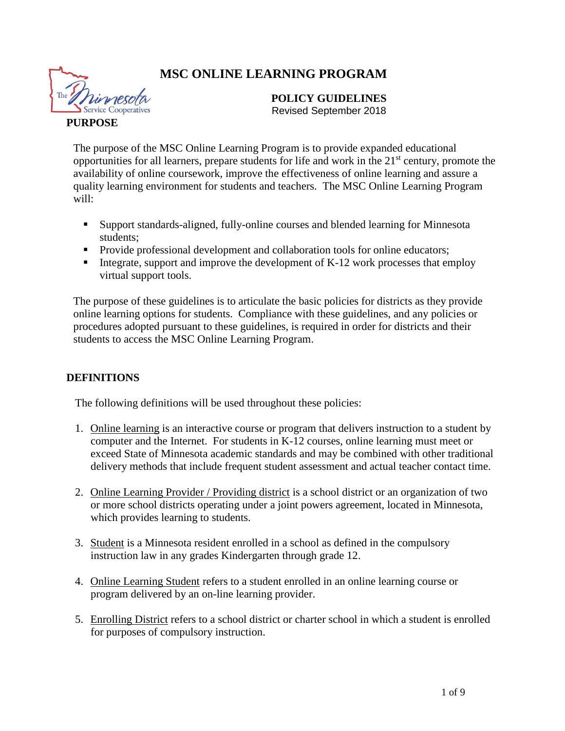# **MSC ONLINE LEARNING PROGRAM**



#### **POLICY GUIDELINES** Revised September 2018

## **PURPOSE**

The purpose of the MSC Online Learning Program is to provide expanded educational opportunities for all learners, prepare students for life and work in the  $21<sup>st</sup>$  century, promote the availability of online coursework, improve the effectiveness of online learning and assure a quality learning environment for students and teachers. The MSC Online Learning Program will:

- Support standards-aligned, fully-online courses and blended learning for Minnesota students;
- Provide professional development and collaboration tools for online educators;
- Integrate, support and improve the development of  $K-12$  work processes that employ virtual support tools.

The purpose of these guidelines is to articulate the basic policies for districts as they provide online learning options for students. Compliance with these guidelines, and any policies or procedures adopted pursuant to these guidelines, is required in order for districts and their students to access the MSC Online Learning Program.

# **DEFINITIONS**

The following definitions will be used throughout these policies:

- 1. Online learning is an interactive course or program that delivers instruction to a student by computer and the Internet. For students in K-12 courses, online learning must meet or exceed State of Minnesota academic standards and may be combined with other traditional delivery methods that include frequent student assessment and actual teacher contact time.
- 2. Online Learning Provider / Providing district is a school district or an organization of two or more school districts operating under a joint powers agreement, located in Minnesota, which provides learning to students.
- 3. Student is a Minnesota resident enrolled in a school as defined in the compulsory instruction law in any grades Kindergarten through grade 12.
- 4. Online Learning Student refers to a student enrolled in an online learning course or program delivered by an on-line learning provider.
- 5. Enrolling District refers to a school district or charter school in which a student is enrolled for purposes of compulsory instruction.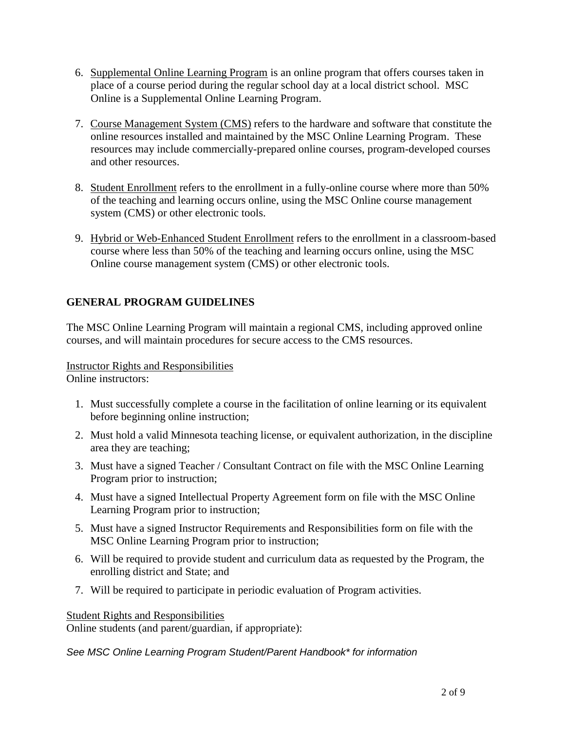- 6. Supplemental Online Learning Program is an online program that offers courses taken in place of a course period during the regular school day at a local district school. MSC Online is a Supplemental Online Learning Program.
- 7. Course Management System (CMS) refers to the hardware and software that constitute the online resources installed and maintained by the MSC Online Learning Program. These resources may include commercially-prepared online courses, program-developed courses and other resources.
- 8. Student Enrollment refers to the enrollment in a fully-online course where more than 50% of the teaching and learning occurs online, using the MSC Online course management system (CMS) or other electronic tools.
- 9. Hybrid or Web-Enhanced Student Enrollment refers to the enrollment in a classroom-based course where less than 50% of the teaching and learning occurs online, using the MSC Online course management system (CMS) or other electronic tools.

# **GENERAL PROGRAM GUIDELINES**

The MSC Online Learning Program will maintain a regional CMS, including approved online courses, and will maintain procedures for secure access to the CMS resources.

# Instructor Rights and Responsibilities

Online instructors:

- 1. Must successfully complete a course in the facilitation of online learning or its equivalent before beginning online instruction;
- 2. Must hold a valid Minnesota teaching license, or equivalent authorization, in the discipline area they are teaching;
- 3. Must have a signed Teacher / Consultant Contract on file with the MSC Online Learning Program prior to instruction;
- 4. Must have a signed Intellectual Property Agreement form on file with the MSC Online Learning Program prior to instruction;
- 5. Must have a signed Instructor Requirements and Responsibilities form on file with the MSC Online Learning Program prior to instruction;
- 6. Will be required to provide student and curriculum data as requested by the Program, the enrolling district and State; and
- 7. Will be required to participate in periodic evaluation of Program activities.

#### Student Rights and Responsibilities Online students (and parent/guardian, if appropriate):

*See MSC Online Learning Program Student/Parent Handbook\* for information*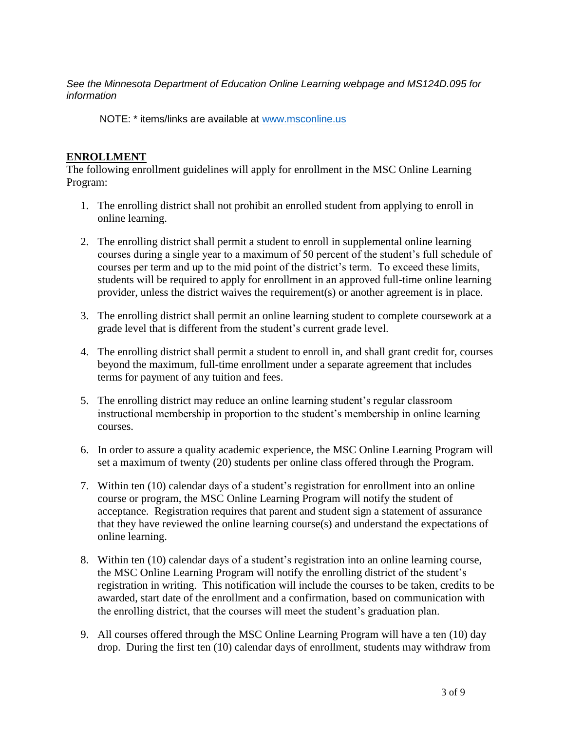*See the Minnesota Department of Education Online Learning webpage and MS124D.095 for information*

NOTE: \* items/links are available at [www.msconline.us](http://www.msconline.us/)

## **ENROLLMENT**

The following enrollment guidelines will apply for enrollment in the MSC Online Learning Program:

- 1. The enrolling district shall not prohibit an enrolled student from applying to enroll in online learning.
- 2. The enrolling district shall permit a student to enroll in supplemental online learning courses during a single year to a maximum of 50 percent of the student's full schedule of courses per term and up to the mid point of the district's term. To exceed these limits, students will be required to apply for enrollment in an approved full-time online learning provider, unless the district waives the requirement(s) or another agreement is in place.
- 3. The enrolling district shall permit an online learning student to complete coursework at a grade level that is different from the student's current grade level.
- 4. The enrolling district shall permit a student to enroll in, and shall grant credit for, courses beyond the maximum, full-time enrollment under a separate agreement that includes terms for payment of any tuition and fees.
- 5. The enrolling district may reduce an online learning student's regular classroom instructional membership in proportion to the student's membership in online learning courses.
- 6. In order to assure a quality academic experience, the MSC Online Learning Program will set a maximum of twenty (20) students per online class offered through the Program.
- 7. Within ten (10) calendar days of a student's registration for enrollment into an online course or program, the MSC Online Learning Program will notify the student of acceptance. Registration requires that parent and student sign a statement of assurance that they have reviewed the online learning course(s) and understand the expectations of online learning.
- 8. Within ten (10) calendar days of a student's registration into an online learning course, the MSC Online Learning Program will notify the enrolling district of the student's registration in writing. This notification will include the courses to be taken, credits to be awarded, start date of the enrollment and a confirmation, based on communication with the enrolling district, that the courses will meet the student's graduation plan.
- 9. All courses offered through the MSC Online Learning Program will have a ten (10) day drop. During the first ten (10) calendar days of enrollment, students may withdraw from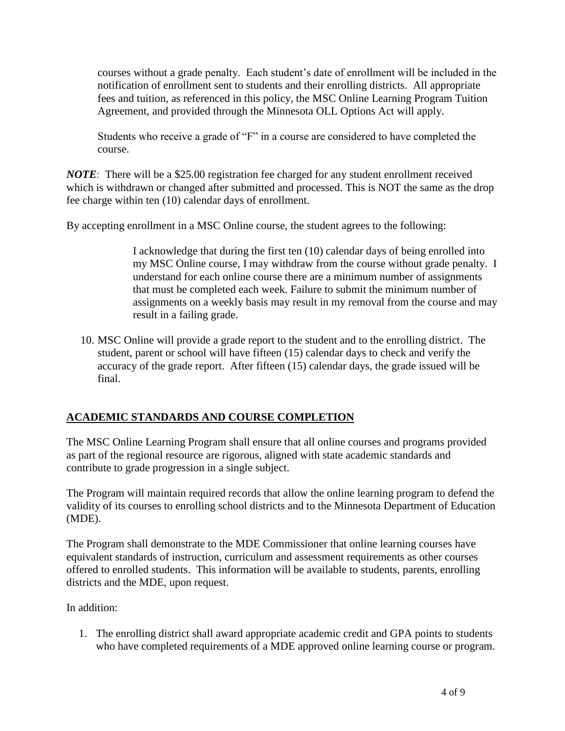courses without a grade penalty. Each student's date of enrollment will be included in the notification of enrollment sent to students and their enrolling districts. All appropriate fees and tuition, as referenced in this policy, the MSC Online Learning Program Tuition Agreement, and provided through the Minnesota OLL Options Act will apply.

Students who receive a grade of "F" in a course are considered to have completed the course.

*NOTE*: There will be a \$25.00 registration fee charged for any student enrollment received which is withdrawn or changed after submitted and processed. This is NOT the same as the drop fee charge within ten (10) calendar days of enrollment.

By accepting enrollment in a MSC Online course, the student agrees to the following:

I acknowledge that during the first ten (10) calendar days of being enrolled into my MSC Online course, I may withdraw from the course without grade penalty. I understand for each online course there are a minimum number of assignments that must be completed each week. Failure to submit the minimum number of assignments on a weekly basis may result in my removal from the course and may result in a failing grade.

10. MSC Online will provide a grade report to the student and to the enrolling district. The student, parent or school will have fifteen (15) calendar days to check and verify the accuracy of the grade report. After fifteen (15) calendar days, the grade issued will be final.

# **ACADEMIC STANDARDS AND COURSE COMPLETION**

The MSC Online Learning Program shall ensure that all online courses and programs provided as part of the regional resource are rigorous, aligned with state academic standards and contribute to grade progression in a single subject.

The Program will maintain required records that allow the online learning program to defend the validity of its courses to enrolling school districts and to the Minnesota Department of Education (MDE).

The Program shall demonstrate to the MDE Commissioner that online learning courses have equivalent standards of instruction, curriculum and assessment requirements as other courses offered to enrolled students. This information will be available to students, parents, enrolling districts and the MDE, upon request.

In addition:

1. The enrolling district shall award appropriate academic credit and GPA points to students who have completed requirements of a MDE approved online learning course or program.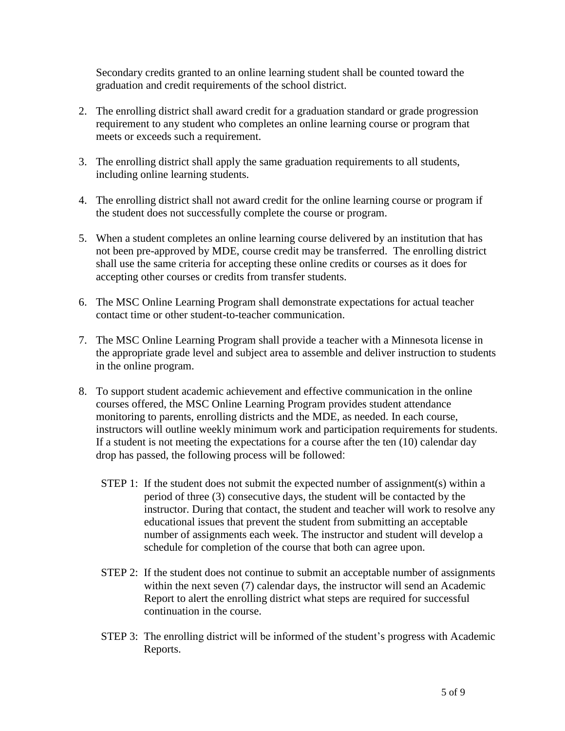Secondary credits granted to an online learning student shall be counted toward the graduation and credit requirements of the school district.

- 2. The enrolling district shall award credit for a graduation standard or grade progression requirement to any student who completes an online learning course or program that meets or exceeds such a requirement.
- 3. The enrolling district shall apply the same graduation requirements to all students, including online learning students.
- 4. The enrolling district shall not award credit for the online learning course or program if the student does not successfully complete the course or program.
- 5. When a student completes an online learning course delivered by an institution that has not been pre-approved by MDE, course credit may be transferred. The enrolling district shall use the same criteria for accepting these online credits or courses as it does for accepting other courses or credits from transfer students.
- 6. The MSC Online Learning Program shall demonstrate expectations for actual teacher contact time or other student-to-teacher communication.
- 7. The MSC Online Learning Program shall provide a teacher with a Minnesota license in the appropriate grade level and subject area to assemble and deliver instruction to students in the online program.
- 8. To support student academic achievement and effective communication in the online courses offered, the MSC Online Learning Program provides student attendance monitoring to parents, enrolling districts and the MDE, as needed. In each course, instructors will outline weekly minimum work and participation requirements for students. If a student is not meeting the expectations for a course after the ten (10) calendar day drop has passed, the following process will be followed:
	- STEP 1: If the student does not submit the expected number of assignment(s) within a period of three (3) consecutive days, the student will be contacted by the instructor. During that contact, the student and teacher will work to resolve any educational issues that prevent the student from submitting an acceptable number of assignments each week. The instructor and student will develop a schedule for completion of the course that both can agree upon.
	- STEP 2: If the student does not continue to submit an acceptable number of assignments within the next seven (7) calendar days, the instructor will send an Academic Report to alert the enrolling district what steps are required for successful continuation in the course.
	- STEP 3: The enrolling district will be informed of the student's progress with Academic Reports.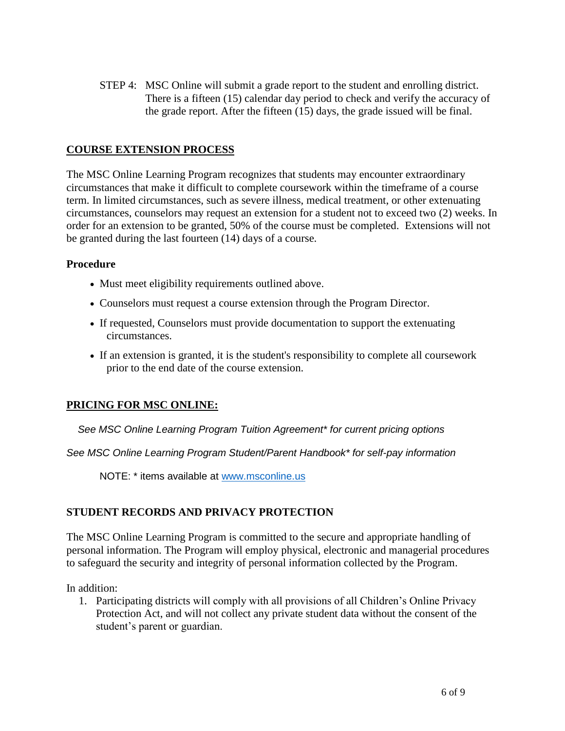STEP 4: MSC Online will submit a grade report to the student and enrolling district. There is a fifteen (15) calendar day period to check and verify the accuracy of the grade report. After the fifteen (15) days, the grade issued will be final.

## **COURSE EXTENSION PROCESS**

The MSC Online Learning Program recognizes that students may encounter extraordinary circumstances that make it difficult to complete coursework within the timeframe of a course term. In limited circumstances, such as severe illness, medical treatment, or other extenuating circumstances, counselors may request an extension for a student not to exceed two (2) weeks. In order for an extension to be granted, 50% of the course must be completed. Extensions will not be granted during the last fourteen (14) days of a course.

#### **Procedure**

- Must meet eligibility requirements outlined above.
- Counselors must request a course extension through the Program Director.
- If requested, Counselors must provide documentation to support the extenuating circumstances.
- If an extension is granted, it is the student's responsibility to complete all coursework prior to the end date of the course extension.

#### **PRICING FOR MSC ONLINE:**

 *See MSC Online Learning Program Tuition Agreement\* for current pricing options*

*See MSC Online Learning Program Student/Parent Handbook\* for self-pay information*

NOTE: \* items available at [www.msconline.us](http://www.msconline.us/)

#### **STUDENT RECORDS AND PRIVACY PROTECTION**

The MSC Online Learning Program is committed to the secure and appropriate handling of personal information. The Program will employ physical, electronic and managerial procedures to safeguard the security and integrity of personal information collected by the Program.

In addition:

1. Participating districts will comply with all provisions of all Children's Online Privacy Protection Act, and will not collect any private student data without the consent of the student's parent or guardian.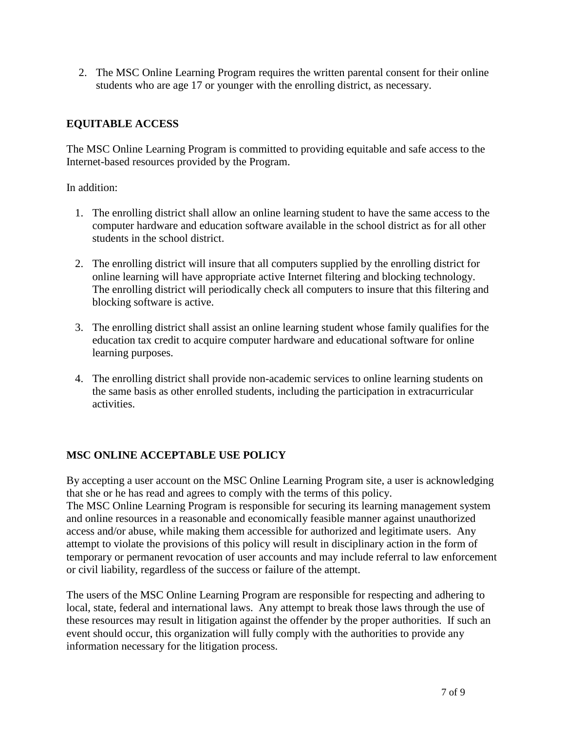2. The MSC Online Learning Program requires the written parental consent for their online students who are age 17 or younger with the enrolling district, as necessary.

## **EQUITABLE ACCESS**

The MSC Online Learning Program is committed to providing equitable and safe access to the Internet-based resources provided by the Program.

## In addition:

- 1. The enrolling district shall allow an online learning student to have the same access to the computer hardware and education software available in the school district as for all other students in the school district.
- 2. The enrolling district will insure that all computers supplied by the enrolling district for online learning will have appropriate active Internet filtering and blocking technology. The enrolling district will periodically check all computers to insure that this filtering and blocking software is active.
- 3. The enrolling district shall assist an online learning student whose family qualifies for the education tax credit to acquire computer hardware and educational software for online learning purposes.
- 4. The enrolling district shall provide non-academic services to online learning students on the same basis as other enrolled students, including the participation in extracurricular activities.

# **MSC ONLINE ACCEPTABLE USE POLICY**

By accepting a user account on the MSC Online Learning Program site, a user is acknowledging that she or he has read and agrees to comply with the terms of this policy. The MSC Online Learning Program is responsible for securing its learning management system

and online resources in a reasonable and economically feasible manner against unauthorized access and/or abuse, while making them accessible for authorized and legitimate users. Any attempt to violate the provisions of this policy will result in disciplinary action in the form of temporary or permanent revocation of user accounts and may include referral to law enforcement or civil liability, regardless of the success or failure of the attempt.

The users of the MSC Online Learning Program are responsible for respecting and adhering to local, state, federal and international laws. Any attempt to break those laws through the use of these resources may result in litigation against the offender by the proper authorities. If such an event should occur, this organization will fully comply with the authorities to provide any information necessary for the litigation process.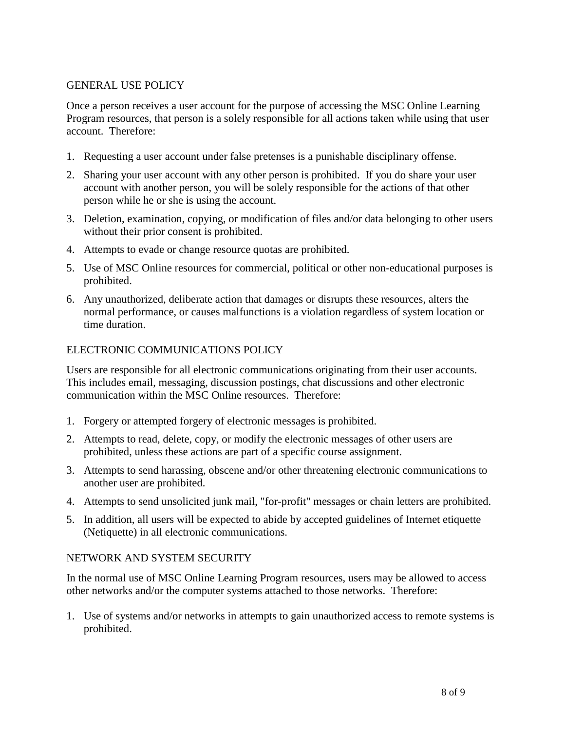## GENERAL USE POLICY

Once a person receives a user account for the purpose of accessing the MSC Online Learning Program resources, that person is a solely responsible for all actions taken while using that user account. Therefore:

- 1. Requesting a user account under false pretenses is a punishable disciplinary offense.
- 2. Sharing your user account with any other person is prohibited. If you do share your user account with another person, you will be solely responsible for the actions of that other person while he or she is using the account.
- 3. Deletion, examination, copying, or modification of files and/or data belonging to other users without their prior consent is prohibited.
- 4. Attempts to evade or change resource quotas are prohibited.
- 5. Use of MSC Online resources for commercial, political or other non-educational purposes is prohibited.
- 6. Any unauthorized, deliberate action that damages or disrupts these resources, alters the normal performance, or causes malfunctions is a violation regardless of system location or time duration.

## ELECTRONIC COMMUNICATIONS POLICY

Users are responsible for all electronic communications originating from their user accounts. This includes email, messaging, discussion postings, chat discussions and other electronic communication within the MSC Online resources. Therefore:

- 1. Forgery or attempted forgery of electronic messages is prohibited.
- 2. Attempts to read, delete, copy, or modify the electronic messages of other users are prohibited, unless these actions are part of a specific course assignment.
- 3. Attempts to send harassing, obscene and/or other threatening electronic communications to another user are prohibited.
- 4. Attempts to send unsolicited junk mail, "for-profit" messages or chain letters are prohibited.
- 5. In addition, all users will be expected to abide by accepted guidelines of Internet etiquette (Netiquette) in all electronic communications.

#### NETWORK AND SYSTEM SECURITY

In the normal use of MSC Online Learning Program resources, users may be allowed to access other networks and/or the computer systems attached to those networks. Therefore:

1. Use of systems and/or networks in attempts to gain unauthorized access to remote systems is prohibited.